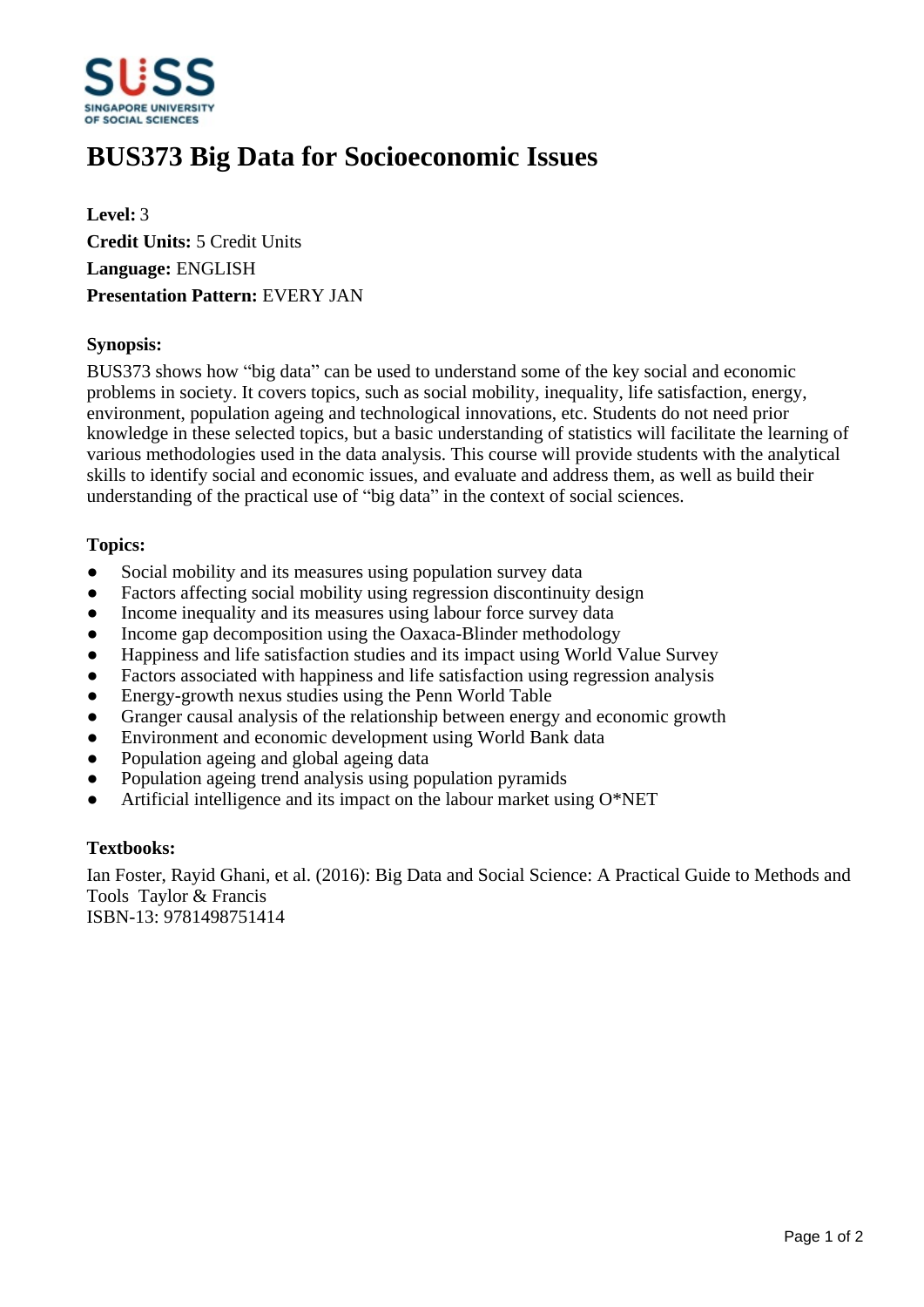

# **BUS373 Big Data for Socioeconomic Issues**

**Level:** 3 **Credit Units:** 5 Credit Units **Language:** ENGLISH **Presentation Pattern:** EVERY JAN

# **Synopsis:**

BUS373 shows how "big data" can be used to understand some of the key social and economic problems in society. It covers topics, such as social mobility, inequality, life satisfaction, energy, environment, population ageing and technological innovations, etc. Students do not need prior knowledge in these selected topics, but a basic understanding of statistics will facilitate the learning of various methodologies used in the data analysis. This course will provide students with the analytical skills to identify social and economic issues, and evaluate and address them, as well as build their understanding of the practical use of "big data" in the context of social sciences.

#### **Topics:**

- Social mobility and its measures using population survey data
- Factors affecting social mobility using regression discontinuity design
- Income inequality and its measures using labour force survey data
- Income gap decomposition using the Oaxaca-Blinder methodology
- Happiness and life satisfaction studies and its impact using World Value Survey
- Factors associated with happiness and life satisfaction using regression analysis
- Energy-growth nexus studies using the Penn World Table
- Granger causal analysis of the relationship between energy and economic growth
- Environment and economic development using World Bank data
- Population ageing and global ageing data
- Population ageing trend analysis using population pyramids
- Artificial intelligence and its impact on the labour market using  $O*NET$

#### **Textbooks:**

Ian Foster, Rayid Ghani, et al. (2016): Big Data and Social Science: A Practical Guide to Methods and Tools Taylor & Francis ISBN-13: 9781498751414